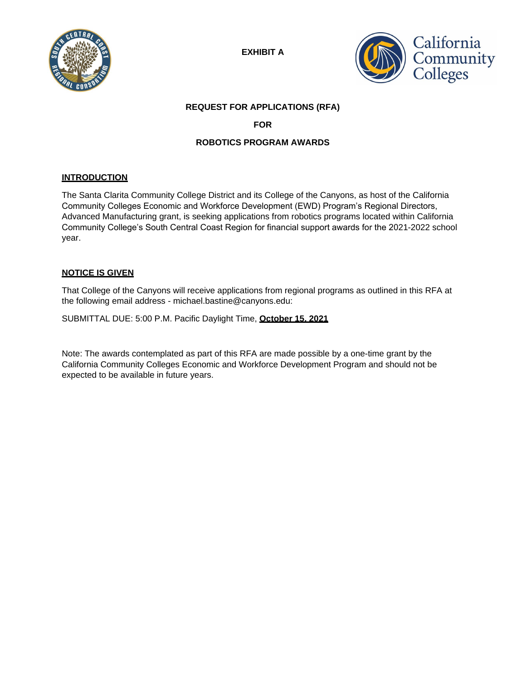

**EXHIBIT A**



# **REQUEST FOR APPLICATIONS (RFA)**

# **FOR**

# **ROBOTICS PROGRAM AWARDS**

# **INTRODUCTION**

The Santa Clarita Community College District and its College of the Canyons, as host of the California Community Colleges Economic and Workforce Development (EWD) Program's Regional Directors, Advanced Manufacturing grant, is seeking applications from robotics programs located within California Community College's South Central Coast Region for financial support awards for the 2021-2022 school year.

## **NOTICE IS GIVEN**

That College of the Canyons will receive applications from regional programs as outlined in this RFA at the following email address - [michael.bastine@canyons.edu:](mailto:michael.bastine@canyons.edu)

SUBMITTAL DUE: 5:00 P.M. Pacific Daylight Time, **October 15, 2021**

Note: The awards contemplated as part of this RFA are made possible by a one-time grant by the California Community Colleges Economic and Workforce Development Program and should not be expected to be available in future years.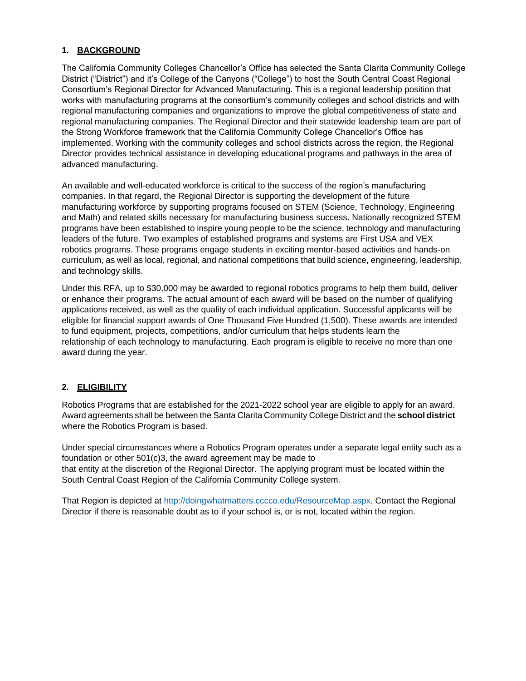## **1. BACKGROUND**

The California Community Colleges Chancellor's Office has selected the Santa Clarita Community College District ("District") and it's College of the Canyons ("College") to host the South Central Coast Regional Consortium's Regional Director for Advanced Manufacturing. This is a regional leadership position that works with manufacturing programs at the consortium's community colleges and school districts and with regional manufacturing companies and organizations to improve the global competitiveness of state and regional manufacturing companies. The Regional Director and their statewide leadership team are part of the Strong Workforce framework that the California Community College Chancellor's Office has implemented. Working with the community colleges and school districts across the region, the Regional Director provides technical assistance in developing educational programs and pathways in the area of advanced manufacturing.

An available and well-educated workforce is critical to the success of the region's manufacturing companies. In that regard, the Regional Director is supporting the development of the future manufacturing workforce by supporting programs focused on STEM (Science, Technology, Engineering and Math) and related skills necessary for manufacturing business success. Nationally recognized STEM programs have been established to inspire young people to be the science, technology and manufacturing leaders of the future. Two examples of established programs and systems are First USA and VEX robotics programs. These programs engage students in exciting mentor-based activities and hands-on curriculum, as well as local, regional, and national competitions that build science, engineering, leadership, and technology skills.

Under this RFA, up to \$30,000 may be awarded to regional robotics programs to help them build, deliver or enhance their programs. The actual amount of each award will be based on the number of qualifying applications received, as well as the quality of each individual application. Successful applicants will be eligible for financial support awards of One Thousand Five Hundred (1,500). These awards are intended to fund equipment, projects, competitions, and/or curriculum that helps students learn the relationship of each technology to manufacturing. Each program is eligible to receive no more than one award during the year.

# **2. ELIGIBILITY**

Robotics Programs that are established for the 2021-2022 school year are eligible to apply for an award. Award agreements shall be between the Santa Clarita Community College District and the **school district**  where the Robotics Program is based.

Under special circumstances where a Robotics Program operates under a separate legal entity such as a foundation or other 501(c)3, the award agreement may be made to that entity at the discretion of the Regional Director. The applying program must be located within the South Central Coast Region of the California Community College system.

That Region is depicted at [http://doingwhatmatters.cccco.edu/ResourceMap.aspx.](http://doingwhatmatters.cccco.edu/ResourceMap.aspx) Contact the Regional Director if there is reasonable doubt as to if your school is, or is not, located within the region.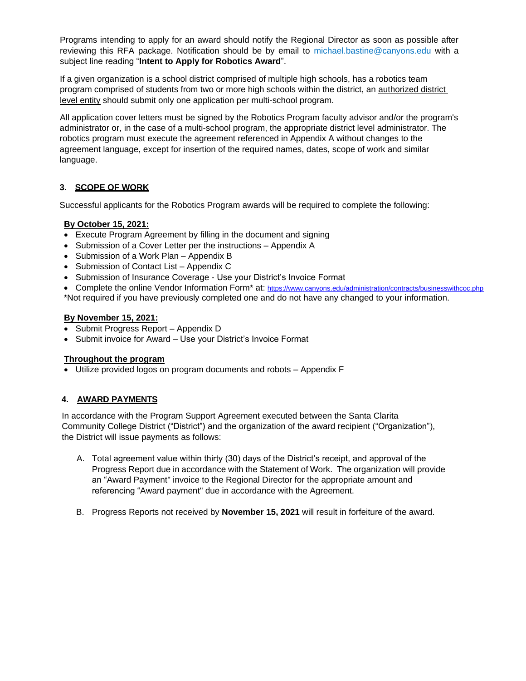Programs intending to apply for an award should notify the Regional Director as soon as possible after reviewing this RFA package. Notification should be by email to [michael.bastine@canyons.edu](mailto:michael.bastine@canyons.edu) with a subject line reading "**Intent to Apply for Robotics Award**".

If a given organization is a school district comprised of multiple high schools, has a robotics team program comprised of students from two or more high schools within the district, an authorized district level entity should submit only one application per multi-school program.

All application cover letters must be signed by the Robotics Program faculty advisor and/or the program's administrator or, in the case of a multi-school program, the appropriate district level administrator. The robotics program must execute the agreement referenced in Appendix A without changes to the agreement language, except for insertion of the required names, dates, scope of work and similar language.

# **3. SCOPE OF WORK**

Successful applicants for the Robotics Program awards will be required to complete the following:

# **By October 15, 2021:**

- Execute Program Agreement by filling in the document and signing
- Submission of a Cover Letter per the instructions Appendix A
- Submission of a Work Plan Appendix B
- Submission of Contact List Appendix C
- Submission of Insurance Coverage Use your District's Invoice Format
- Complete the online Vendor Information Form<sup>\*</sup> at: <https://www.canyons.edu/administration/contracts/businesswithcoc.php>

# \*Not required if you have previously completed one and do not have any changed to your information.

### **By November 15, 2021:**

- Submit Progress Report Appendix D
- Submit invoice for Award Use your District's Invoice Format

## **Throughout the program**

• Utilize provided logos on program documents and robots – Appendix F

## **4. AWARD PAYMENTS**

In accordance with the Program Support Agreement executed between the Santa Clarita Community College District ("District") and the organization of the award recipient ("Organization"), the District will issue payments as follows:

- A. Total agreement value within thirty (30) days of the District's receipt, and approval of the Progress Report due in accordance with the Statement of Work. The organization will provide an "Award Payment" invoice to the Regional Director for the appropriate amount and referencing "Award payment" due in accordance with the Agreement.
- B. Progress Reports not received by **November 15, 2021** will result in forfeiture of the award.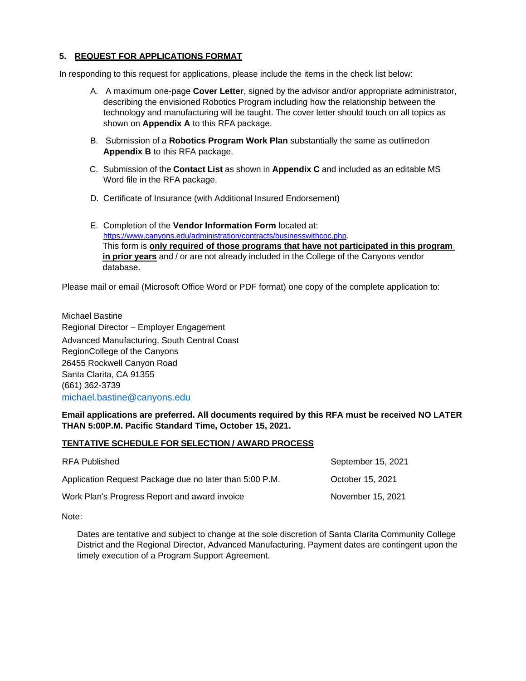# **5. REQUEST FOR APPLICATIONS FORMAT**

In responding to this request for applications, please include the items in the check list below:

- A. A maximum one-page **Cover Letter**, signed by the advisor and/or appropriate administrator, describing the envisioned Robotics Program including how the relationship between the technology and manufacturing will be taught. The cover letter should touch on all topics as shown on **Appendix A** to this RFA package.
- B. Submission of a **Robotics Program Work Plan** substantially the same as outlinedon **Appendix B** to this RFA package.
- C. Submission of the **Contact List** as shown in **Appendix C** and included as an editable MS Word file in the RFA package.
- D. Certificate of Insurance (with Additional Insured Endorsement)
- E. Completion of the **Vendor Information Form** located at: [https://www.canyons.edu/administration/contracts/businesswithcoc.php.](https://www.canyons.edu/administration/contracts/businesswithcoc.php) This form is **only required of those programs that have not participated in this program in prior years** and / or are not already included in the College of the Canyons vendor database.

Please mail or email (Microsoft Office Word or PDF format) one copy of the complete application to:

Michael Bastine Regional Director – Employer Engagement Advanced Manufacturing, South Central Coast RegionCollege of the Canyons 26455 Rockwell Canyon Road Santa Clarita, CA 91355 (661) 362-3739 [michael.bastine@canyons.edu](mailto:michael.bastine@canyons.edu)

**Email applications are preferred. All documents required by this RFA must be received NO LATER THAN 5:00P.M. Pacific Standard Time, October 15, 2021.**

#### **TENTATIVE SCHEDULE FOR SELECTION / AWARD PROCESS**

| <b>RFA Published</b>                                    | September 15, 2021 |
|---------------------------------------------------------|--------------------|
| Application Request Package due no later than 5:00 P.M. | October 15, 2021   |
| Work Plan's Progress Report and award invoice           | November 15, 2021  |

Note:

Dates are tentative and subject to change at the sole discretion of Santa Clarita Community College District and the Regional Director, Advanced Manufacturing. Payment dates are contingent upon the timely execution of a Program Support Agreement.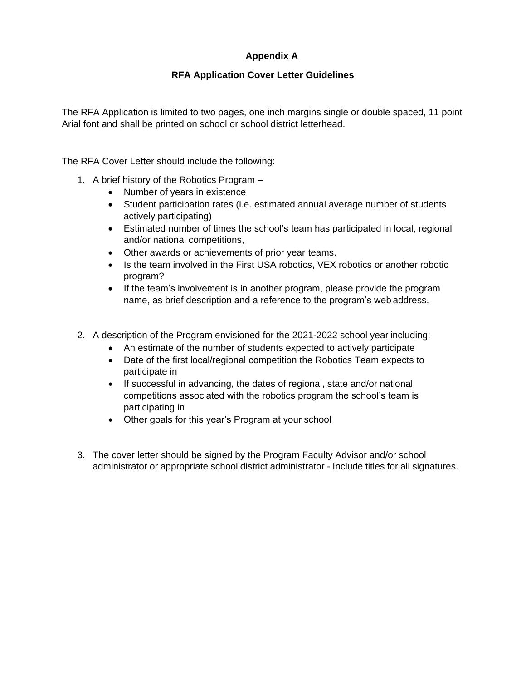# **Appendix A**

# **RFA Application Cover Letter Guidelines**

The RFA Application is limited to two pages, one inch margins single or double spaced, 11 point Arial font and shall be printed on school or school district letterhead.

The RFA Cover Letter should include the following:

- 1. A brief history of the Robotics Program
	- Number of years in existence
	- Student participation rates (i.e. estimated annual average number of students actively participating)
	- Estimated number of times the school's team has participated in local, regional and/or national competitions,
	- Other awards or achievements of prior year teams.
	- Is the team involved in the First USA robotics, VEX robotics or another robotic program?
	- If the team's involvement is in another program, please provide the program name, as brief description and a reference to the program's web address.
- 2. A description of the Program envisioned for the 2021-2022 school year including:
	- An estimate of the number of students expected to actively participate
	- Date of the first local/regional competition the Robotics Team expects to participate in
	- If successful in advancing, the dates of regional, state and/or national competitions associated with the robotics program the school's team is participating in
	- Other goals for this year's Program at your school
- 3. The cover letter should be signed by the Program Faculty Advisor and/or school administrator or appropriate school district administrator - Include titles for all signatures.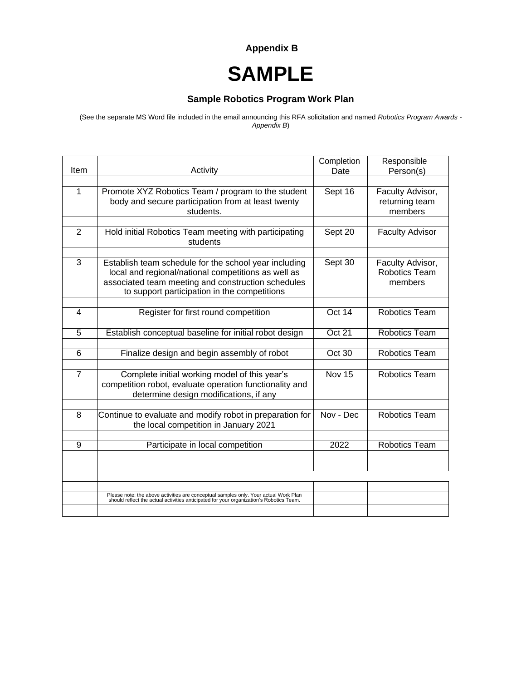**Appendix B**

# **SAMPLE**

# **Sample Robotics Program Work Plan**

(See the separate MS Word file included in the email announcing this RFA solicitation and named *Robotics Program Awards - Appendix B*)

|                |                                                                                                                                                                                                                    | Completion    | Responsible                                         |
|----------------|--------------------------------------------------------------------------------------------------------------------------------------------------------------------------------------------------------------------|---------------|-----------------------------------------------------|
| Item           | Activity                                                                                                                                                                                                           | Date          | Person(s)                                           |
| 1              | Promote XYZ Robotics Team / program to the student<br>body and secure participation from at least twenty<br>students.                                                                                              | Sept 16       | Faculty Advisor,<br>returning team<br>members       |
|                |                                                                                                                                                                                                                    |               |                                                     |
| $\overline{2}$ | Hold initial Robotics Team meeting with participating<br>students                                                                                                                                                  | Sept 20       | <b>Faculty Advisor</b>                              |
|                |                                                                                                                                                                                                                    |               |                                                     |
| 3              | Establish team schedule for the school year including<br>local and regional/national competitions as well as<br>associated team meeting and construction schedules<br>to support participation in the competitions | Sept 30       | Faculty Advisor,<br><b>Robotics Team</b><br>members |
|                |                                                                                                                                                                                                                    |               |                                                     |
| 4              | Register for first round competition                                                                                                                                                                               | Oct 14        | <b>Robotics Team</b>                                |
|                |                                                                                                                                                                                                                    |               |                                                     |
| 5              | Establish conceptual baseline for initial robot design                                                                                                                                                             | Oct 21        | <b>Robotics Team</b>                                |
|                |                                                                                                                                                                                                                    |               |                                                     |
| 6              | Finalize design and begin assembly of robot                                                                                                                                                                        | Oct 30        | <b>Robotics Team</b>                                |
|                |                                                                                                                                                                                                                    |               |                                                     |
| $\overline{7}$ | Complete initial working model of this year's<br>competition robot, evaluate operation functionality and<br>determine design modifications, if any                                                                 | <b>Nov 15</b> | <b>Robotics Team</b>                                |
|                |                                                                                                                                                                                                                    |               |                                                     |
| 8              | Continue to evaluate and modify robot in preparation for<br>the local competition in January 2021                                                                                                                  | Nov - Dec     | <b>Robotics Team</b>                                |
|                |                                                                                                                                                                                                                    |               |                                                     |
| 9              | Participate in local competition                                                                                                                                                                                   | 2022          | <b>Robotics Team</b>                                |
|                |                                                                                                                                                                                                                    |               |                                                     |
|                |                                                                                                                                                                                                                    |               |                                                     |
|                |                                                                                                                                                                                                                    |               |                                                     |
|                |                                                                                                                                                                                                                    |               |                                                     |
|                | Please note: the above activities are conceptual samples only. Your actual Work Plan<br>should reflect the actual activities anticipated for your organization's Robotics Team.                                    |               |                                                     |
|                |                                                                                                                                                                                                                    |               |                                                     |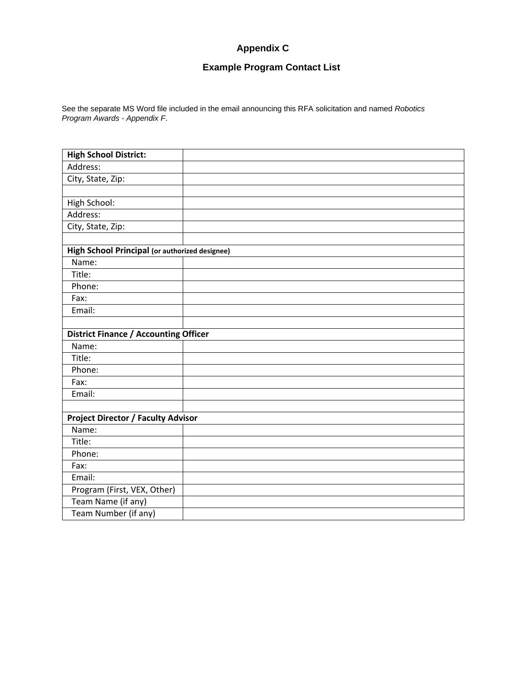# **Appendix C**

# **Example Program Contact List**

See the separate MS Word file included in the email announcing this RFA solicitation and named *Robotics Program Awards - Appendix F*.

| <b>High School District:</b>                   |  |  |  |  |
|------------------------------------------------|--|--|--|--|
| Address:                                       |  |  |  |  |
| City, State, Zip:                              |  |  |  |  |
|                                                |  |  |  |  |
| High School:                                   |  |  |  |  |
| Address:                                       |  |  |  |  |
| City, State, Zip:                              |  |  |  |  |
|                                                |  |  |  |  |
| High School Principal (or authorized designee) |  |  |  |  |
| Name:                                          |  |  |  |  |
| Title:                                         |  |  |  |  |
| Phone:                                         |  |  |  |  |
| Fax:                                           |  |  |  |  |
| Email:                                         |  |  |  |  |
|                                                |  |  |  |  |
| <b>District Finance / Accounting Officer</b>   |  |  |  |  |
| Name:                                          |  |  |  |  |
| Title:                                         |  |  |  |  |
| Phone:                                         |  |  |  |  |
| Fax:                                           |  |  |  |  |
| Email:                                         |  |  |  |  |
|                                                |  |  |  |  |
| <b>Project Director / Faculty Advisor</b>      |  |  |  |  |
| Name:                                          |  |  |  |  |
| Title:                                         |  |  |  |  |
| Phone:                                         |  |  |  |  |
| Fax:                                           |  |  |  |  |
| Email:                                         |  |  |  |  |
| Program (First, VEX, Other)                    |  |  |  |  |
| Team Name (if any)                             |  |  |  |  |
| Team Number (if any)                           |  |  |  |  |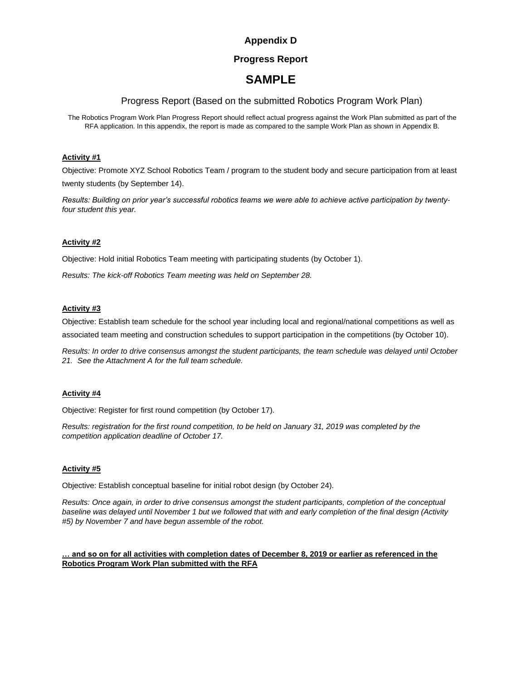# **Appendix D**

### **Progress Report**

# **SAMPLE**

### Progress Report (Based on the submitted Robotics Program Work Plan)

The Robotics Program Work Plan Progress Report should reflect actual progress against the Work Plan submitted as part of the RFA application. In this appendix, the report is made as compared to the sample Work Plan as shown in Appendix B.

#### **Activity #1**

Objective: Promote XYZ School Robotics Team / program to the student body and secure participation from at least twenty students (by September 14).

*Results: Building on prior year's successful robotics teams we were able to achieve active participation by twentyfour student this year.*

#### **Activity #2**

Objective: Hold initial Robotics Team meeting with participating students (by October 1).

*Results: The kick-off Robotics Team meeting was held on September 28.*

#### **Activity #3**

Objective: Establish team schedule for the school year including local and regional/national competitions as well as associated team meeting and construction schedules to support participation in the competitions (by October 10).

*Results: In order to drive consensus amongst the student participants, the team schedule was delayed until October 21. See the Attachment A for the full team schedule.*

#### **Activity #4**

Objective: Register for first round competition (by October 17).

*Results: registration for the first round competition, to be held on January 31, 2019 was completed by the competition application deadline of October 17.*

#### **Activity #5**

Objective: Establish conceptual baseline for initial robot design (by October 24).

*Results: Once again, in order to drive consensus amongst the student participants, completion of the conceptual baseline was delayed until November 1 but we followed that with and early completion of the final design (Activity #5) by November 7 and have begun assemble of the robot.*

#### **… and so on for all activities with completion dates of December 8, 2019 or earlier as referenced in the Robotics Program Work Plan submitted with the RFA**